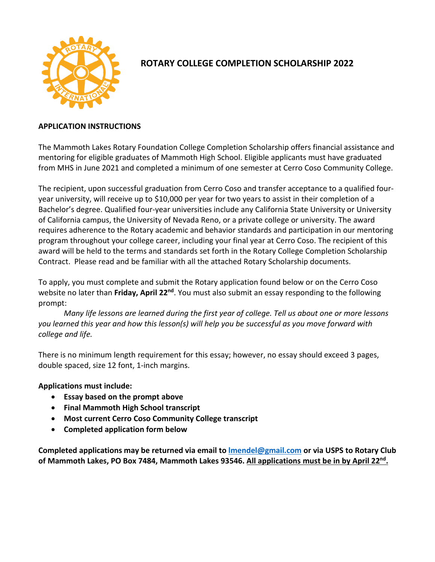

## **ROTARY COLLEGE COMPLETION SCHOLARSHIP 2022**

### **APPLICATION INSTRUCTIONS**

The Mammoth Lakes Rotary Foundation College Completion Scholarship offers financial assistance and mentoring for eligible graduates of Mammoth High School. Eligible applicants must have graduated from MHS in June 2021 and completed a minimum of one semester at Cerro Coso Community College.

The recipient, upon successful graduation from Cerro Coso and transfer acceptance to a qualified fouryear university, will receive up to \$10,000 per year for two years to assist in their completion of a Bachelor's degree. Qualified four-year universities include any California State University or University of California campus, the University of Nevada Reno, or a private college or university. The award requires adherence to the Rotary academic and behavior standards and participation in our mentoring program throughout your college career, including your final year at Cerro Coso. The recipient of this award will be held to the terms and standards set forth in the Rotary College Completion Scholarship Contract. Please read and be familiar with all the attached Rotary Scholarship documents.

To apply, you must complete and submit the Rotary application found below or on the Cerro Coso website no later than **Friday, April 22nd**. You must also submit an essay responding to the following prompt:

*Many life lessons are learned during the first year of college. Tell us about one or more lessons you learned this year and how this lesson(s) will help you be successful as you move forward with college and life.*

There is no minimum length requirement for this essay; however, no essay should exceed 3 pages, double spaced, size 12 font, 1-inch margins.

**Applications must include:** 

- **Essay based on the prompt above**
- **Final Mammoth High School transcript**
- **Most current Cerro Coso Community College transcript**
- **Completed application form below**

**Completed applications may be returned via email to [lmendel@gmail.com](mailto:lmendel@gmail.com) or via USPS to Rotary Club of Mammoth Lakes, PO Box 7484, Mammoth Lakes 93546. All applications must be in by April 22nd.**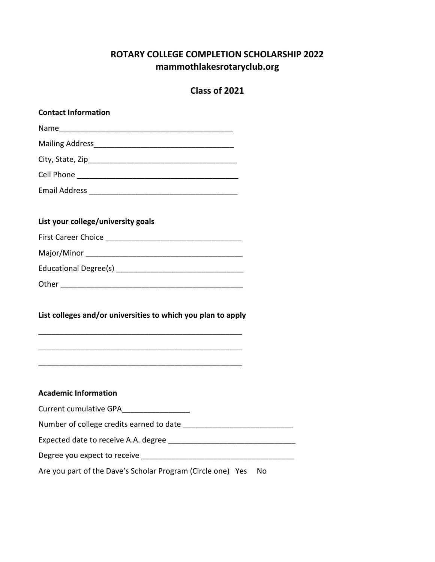# **ROTARY COLLEGE COMPLETION SCHOLARSHIP 2022 mammothlakesrotaryclub.org**

## **Class of 2021**

| <b>Contact Information</b>                                        |
|-------------------------------------------------------------------|
|                                                                   |
|                                                                   |
|                                                                   |
|                                                                   |
|                                                                   |
|                                                                   |
| List your college/university goals                                |
|                                                                   |
|                                                                   |
|                                                                   |
|                                                                   |
| List colleges and/or universities to which you plan to apply      |
| <b>Academic Information</b>                                       |
| Current cumulative GPA__________________                          |
|                                                                   |
|                                                                   |
|                                                                   |
| Are you part of the Dave's Scholar Program (Circle one) Yes<br>No |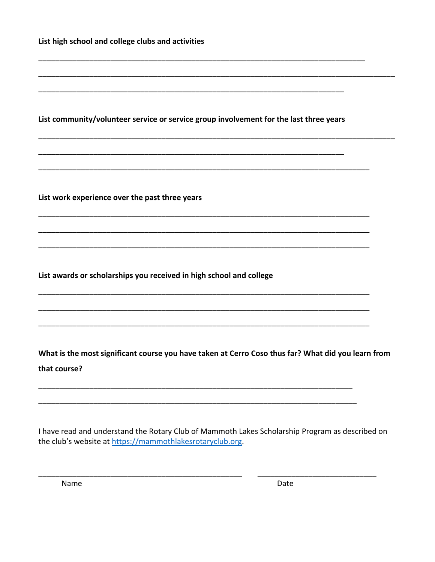| List high school and college clubs and activities                                      |  |
|----------------------------------------------------------------------------------------|--|
|                                                                                        |  |
| List community/volunteer service or service group involvement for the last three years |  |
|                                                                                        |  |
| List work experience over the past three years                                         |  |
|                                                                                        |  |
| List awards or scholarships you received in high school and college                    |  |
|                                                                                        |  |
|                                                                                        |  |

What is the most significant course you have taken at Cerro Coso thus far? What did you learn from that course?

I have read and understand the Rotary Club of Mammoth Lakes Scholarship Program as described on the club's website at https://mammothlakesrotaryclub.org.

Name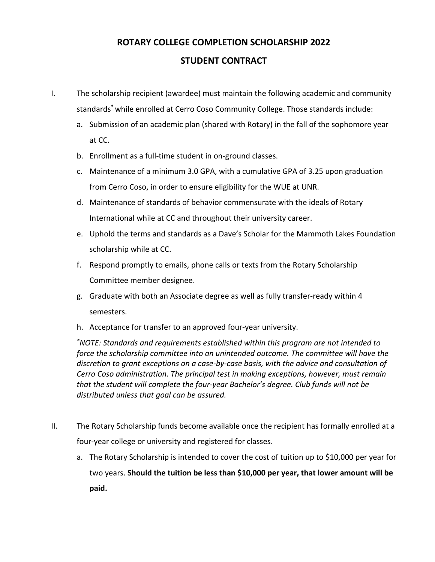### **ROTARY COLLEGE COMPLETION SCHOLARSHIP 2022**

### **STUDENT CONTRACT**

I. The scholarship recipient (awardee) must maintain the following academic and community standards\* while enrolled at Cerro Coso Community College. Those standards include:

- a. Submission of an academic plan (shared with Rotary) in the fall of the sophomore year at CC.
- b. Enrollment as a full-time student in on-ground classes.
- c. Maintenance of a minimum 3.0 GPA, with a cumulative GPA of 3.25 upon graduation from Cerro Coso, in order to ensure eligibility for the WUE at UNR.
- d. Maintenance of standards of behavior commensurate with the ideals of Rotary International while at CC and throughout their university career.
- e. Uphold the terms and standards as a Dave's Scholar for the Mammoth Lakes Foundation scholarship while at CC.
- f. Respond promptly to emails, phone calls or texts from the Rotary Scholarship Committee member designee.
- g. Graduate with both an Associate degree as well as fully transfer-ready within 4 semesters.
- h. Acceptance for transfer to an approved four-year university.

*\* NOTE: Standards and requirements established within this program are not intended to force the scholarship committee into an unintended outcome. The committee will have the discretion to grant exceptions on a case-by-case basis, with the advice and consultation of Cerro Coso administration. The principal test in making exceptions, however, must remain that the student will complete the four-year Bachelor's degree. Club funds will not be distributed unless that goal can be assured.*

- II. The Rotary Scholarship funds become available once the recipient has formally enrolled at a four-year college or university and registered for classes.
	- a. The Rotary Scholarship is intended to cover the cost of tuition up to \$10,000 per year for two years. **Should the tuition be less than \$10,000 per year, that lower amount will be paid.**